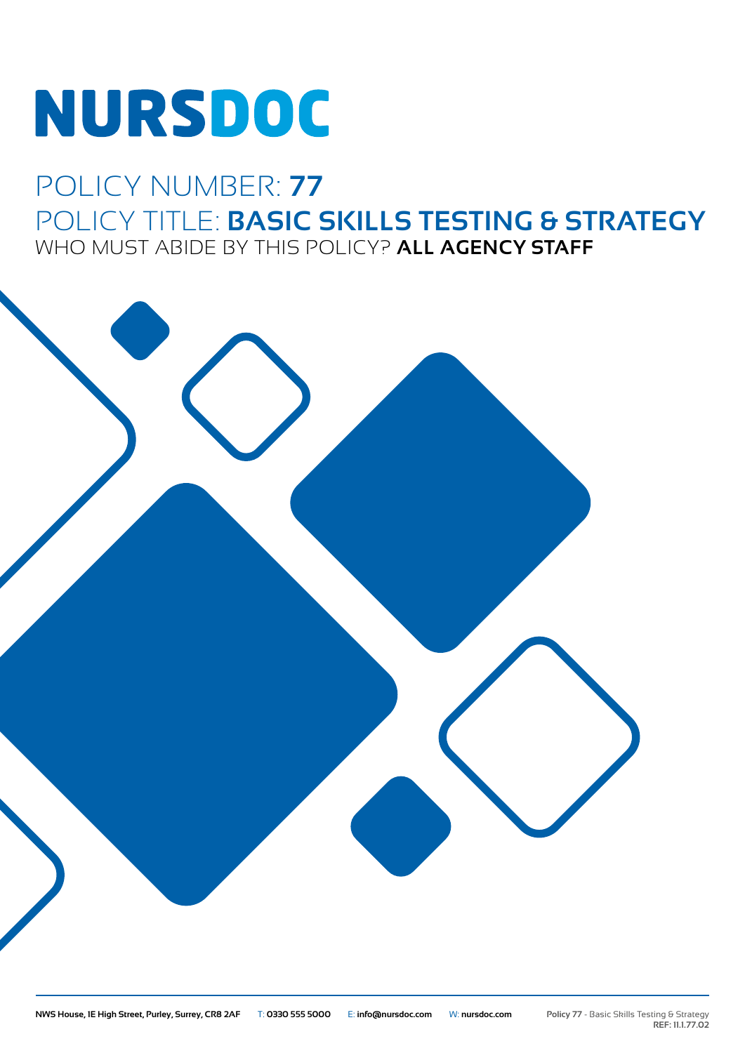# NURSDOC

### POLICY NUMBER: **77** POLICY TITLE: **BASIC SKILLS TESTING & STRATEGY** WHO MUST ABIDE BY THIS POLICY? **ALL AGENCY STAFF**

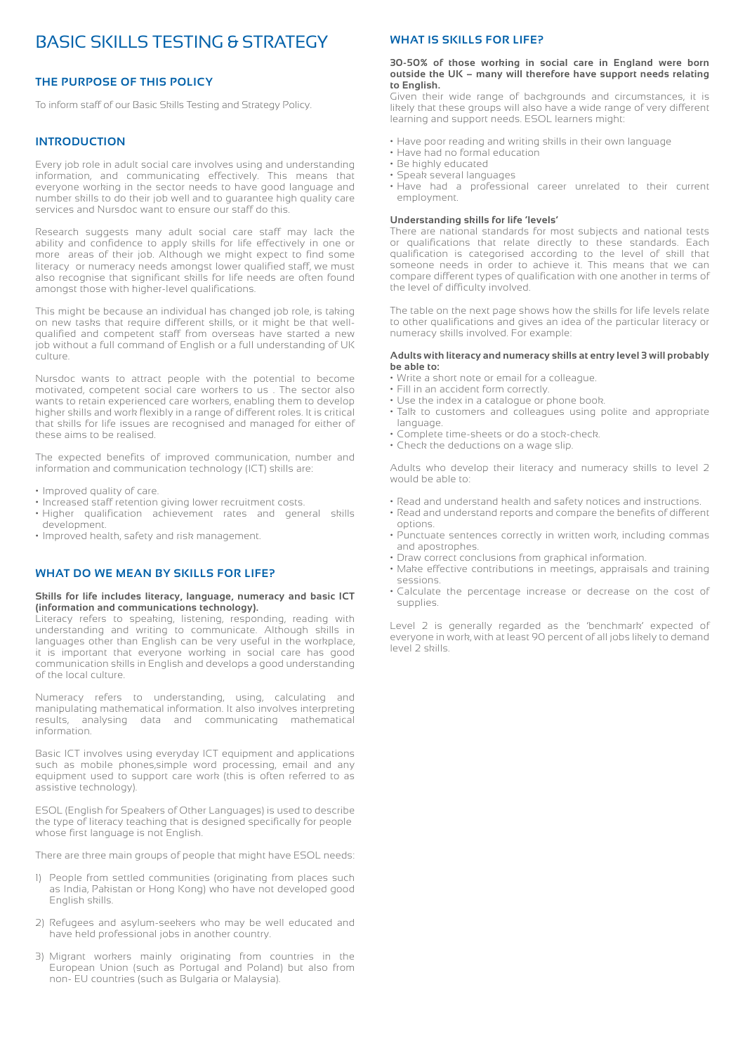#### BASIC SKILLS TESTING & STRATEGY

#### **THE PURPOSE OF THIS POLICY**

To inform staff of our Basic Skills Testing and Strategy Policy.

#### **INTRODUCTION**

Every job role in adult social care involves using and understanding information, and communicating effectively. This means that everyone working in the sector needs to have good language and number skills to do their job well and to guarantee high quality care services and Nursdoc want to ensure our staff do this.

Research suggests many adult social care staff may lack the ability and confidence to apply skills for life effectively in one or more areas of their job. Although we might expect to find some literacy or numeracy needs amongst lower qualified staff, we must also recognise that significant skills for life needs are often found amongst those with higher-level qualifications.

This might be because an individual has changed job role, is taking on new tasks that require different skills, or it might be that wellqualified and competent staff from overseas have started a new job without a full command of English or a full understanding of UK culture.

Nursdoc wants to attract people with the potential to become motivated, competent social care workers to us . The sector also wants to retain experienced care workers, enabling them to develop higher skills and work flexibly in a range of different roles. It is critical that skills for life issues are recognised and managed for either of these aims to be realised.

The expected benefits of improved communication, number and information and communication technology (ICT) skills are:

- Improved quality of care.
- Increased staff retention giving lower recruitment costs.
- Higher qualification achievement rates and general skills development.
- Improved health, safety and risk management.

#### **WHAT DO WE MEAN BY SKILLS FOR LIFE?**

#### **Skills for life includes literacy, language, numeracy and basic ICT (information and communications technology).**

Literacy refers to speaking, listening, responding, reading with understanding and writing to communicate. Although skills in languages other than English can be very useful in the workplace, it is important that everyone working in social care has good communication skills in English and develops a good understanding of the local culture.

Numeracy refers to understanding, using, calculating and manipulating mathematical information. It also involves interpreting results, analysing data and communicating mathematical information.

Basic ICT involves using everyday ICT equipment and applications such as mobile phones,simple word processing, email and any equipment used to support care work (this is often referred to as assistive technology).

ESOL (English for Speakers of Other Languages) is used to describe the type of literacy teaching that is designed specifically for people whose first language is not English.

There are three main groups of people that might have ESOL needs:

- 1) People from settled communities (originating from places such as India, Pakistan or Hong Kong) who have not developed good English skills.
- 2) Refugees and asylum-seekers who may be well educated and have held professional jobs in another country.
- 3) Migrant workers mainly originating from countries in the European Union (such as Portugal and Poland) but also from non- EU countries (such as Bulgaria or Malaysia).

#### **WHAT IS SKILLS FOR LIFE?**

#### **30-50% of those working in social care in England were born outside the UK – many will therefore have support needs relating to English.**

Given their wide range of backgrounds and circumstances, it is likely that these groups will also have a wide range of very different learning and support needs. ESOL learners might:

- Have poor reading and writing skills in their own language
- Have had no formal education
- Be highly educated
- Speak several languages
- Have had a professional career unrelated to their current employment.

#### **Understanding skills for life 'levels'**

There are national standards for most subjects and national tests or qualifications that relate directly to these standards. Each qualification is categorised according to the level of skill that someone needs in order to achieve it. This means that we can compare different types of qualification with one another in terms of the level of difficulty involved.

The table on the next page shows how the skills for life levels relate to other qualifications and gives an idea of the particular literacy or numeracy skills involved. For example:

#### **Adults with literacy and numeracy skills at entry level 3 will probably be able to:**

- Write a short note or email for a colleague.
- Fill in an accident form correctly.
- Use the index in a catalogue or phone book.
- Talk to customers and colleagues using polite and appropriate language.
- Complete time-sheets or do a stock-check.
- Check the deductions on a wage slip.

Adults who develop their literacy and numeracy skills to level 2 would be able to:

- Read and understand health and safety notices and instructions.
- Read and understand reports and compare the benefits of different options.
- Punctuate sentences correctly in written work, including commas and apostrophes.
- Draw correct conclusions from graphical information.
- Make effective contributions in meetings, appraisals and training sessions.
- Calculate the percentage increase or decrease on the cost of supplies.

Level 2 is generally regarded as the 'benchmark' expected of everyone in work, with at least 90 percent of all jobs likely to demand level 2 skills.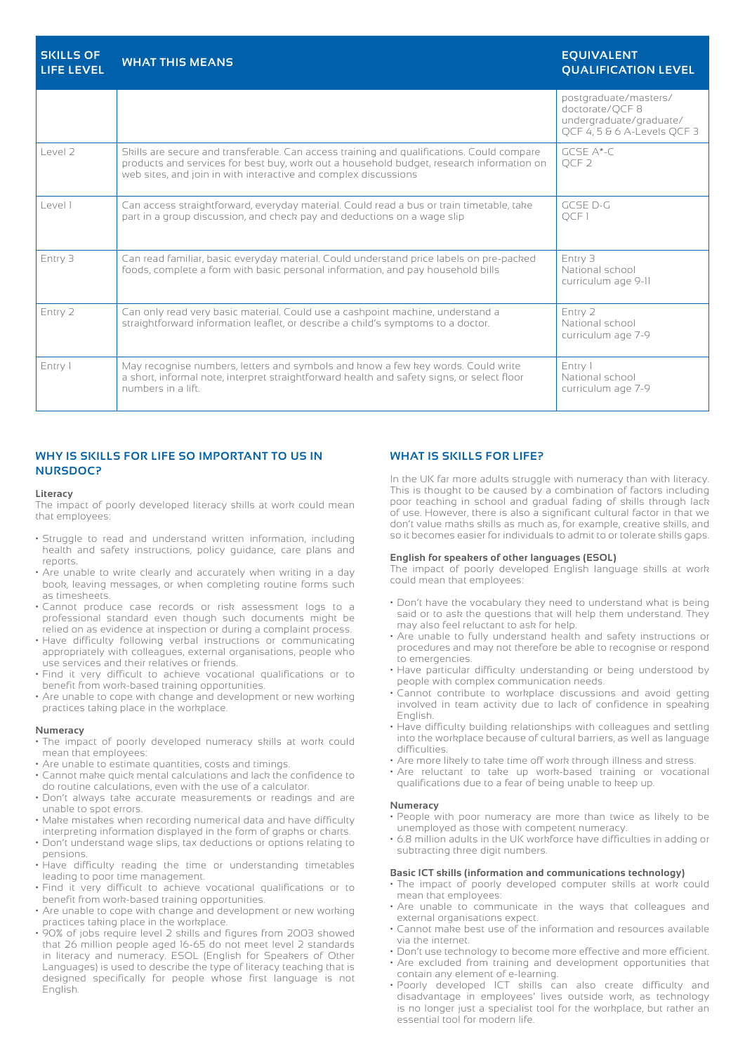| <b>SKILLS OF</b><br><b>LIFE LEVEL</b> | <b>WHAT THIS MEANS</b>                                                                                                                                                                                                                                   | <b>EQUIVALENT</b><br><b>QUALIFICATION LEVEL</b>                                                   |
|---------------------------------------|----------------------------------------------------------------------------------------------------------------------------------------------------------------------------------------------------------------------------------------------------------|---------------------------------------------------------------------------------------------------|
|                                       |                                                                                                                                                                                                                                                          | postgraduate/masters/<br>doctorate/QCF8<br>undergraduate/graduate/<br>OCF 4, 5 & 6 A-Levels OCF 3 |
| level 2                               | Skills are secure and transferable. Can access training and qualifications. Could compare<br>products and services for best buy, work out a household budget, research information on<br>web sites, and join in with interactive and complex discussions | $GCSF$ $A*-C$<br>OCF <sub>2</sub>                                                                 |
| l evel 1                              | Can access straightforward, everyday material. Could read a bus or train timetable, take<br>part in a group discussion, and check pay and deductions on a wage slip                                                                                      | GCSE D-G<br>OCF <sub>1</sub>                                                                      |
| Entry 3                               | Can read familiar, basic everyday material. Could understand price labels on pre-packed<br>foods, complete a form with basic personal information, and pay household bills                                                                               | Entry 3<br>National school<br>curriculum age 9-11                                                 |
| Entry 2                               | Can only read very basic material. Could use a cashpoint machine, understand a<br>straightforward information leaflet, or describe a child's symptoms to a doctor.                                                                                       | Entry 2<br>National school<br>curriculum age 7-9                                                  |
| Entry 1                               | May recognise numbers, letters and symbols and know a few key words. Could write<br>a short, informal note, interpret straightforward health and safety signs, or select floor<br>numbers in a lift.                                                     | Entry 1<br>National school<br>curriculum age 7-9                                                  |

#### **WHY IS SKILLS FOR LIFE SO IMPORTANT TO US IN NURSDOC?**

#### **Literacy**

The impact of poorly developed literacy skills at work could mean that employees:

- Struggle to read and understand written information, including health and safety instructions, policy guidance, care plans and reports.
- Are unable to write clearly and accurately when writing in a day book, leaving messages, or when completing routine forms such as timesheets.
- Cannot produce case records or risk assessment logs to a professional standard even though such documents might be relied on as evidence at inspection or during a complaint process.
- Have difficulty following verbal instructions or communicating appropriately with colleagues, external organisations, people who use services and their relatives or friends.
- Find it very difficult to achieve vocational qualifications or to benefit from work-based training opportunities.
- Are unable to cope with change and development or new working practices taking place in the workplace.

#### **Numeracy**

- The impact of poorly developed numeracy skills at work could mean that employees:
- Are unable to estimate quantities, costs and timings.
- Cannot make quick mental calculations and lack the confidence to do routine calculations, even with the use of a calculator.
- Don't always take accurate measurements or readings and are unable to spot errors.
- Make mistakes when recording numerical data and have difficulty interpreting information displayed in the form of graphs or charts.
- Don't understand wage slips, tax deductions or options relating to pensions.
- Have difficulty reading the time or understanding timetables leading to poor time management.
- Find it very difficult to achieve vocational qualifications or to benefit from work-based training opportunities.
- Are unable to cope with change and development or new working practices taking place in the workplace.
- 90% of jobs require level 2 skills and figures from 2003 showed that 26 million people aged 16-65 do not meet level 2 standards in literacy and numeracy. ESOL (English for Speakers of Other Languages) is used to describe the type of literacy teaching that is designed specifically for people whose first language is not English.

#### **WHAT IS SKILLS FOR LIFE?**

In the UK far more adults struggle with numeracy than with literacy. This is thought to be caused by a combination of factors including poor teaching in school and gradual fading of skills through lack of use. However, there is also a significant cultural factor in that we don't value maths skills as much as, for example, creative skills, and so it becomes easier for individuals to admit to or tolerate skills gaps.

#### **English for speakers of other languages (ESOL)**

The impact of poorly developed English language skills at work could mean that employees:

- Don't have the vocabulary they need to understand what is being said or to ask the questions that will help them understand. They may also feel reluctant to ask for help.
- Are unable to fully understand health and safety instructions or procedures and may not therefore be able to recognise or respond to emergencies.
- Have particular difficulty understanding or being understood by people with complex communication needs.
- Cannot contribute to workplace discussions and avoid getting involved in team activity due to lack of confidence in speaking English.
- Have difficulty building relationships with colleagues and settling into the workplace because of cultural barriers, as well as language difficulties.
- Are more likely to take time off work through illness and stress.
- Are reluctant to take up work-based training or vocational qualifications due to a fear of being unable to keep up.

#### **Numeracy**

- People with poor numeracy are more than twice as likely to be unemployed as those with competent numeracy.
- 6.8 million adults in the UK workforce have difficulties in adding or subtracting three digit numbers.

#### **Basic ICT skills (information and communications technology)**

- The impact of poorly developed computer skills at work could mean that employees:
- Are unable to communicate in the ways that colleagues and external organisations expect.
- Cannot make best use of the information and resources available via the internet.
- Don't use technology to become more effective and more efficient.
- Are excluded from training and development opportunities that contain any element of e-learning.
- Poorly developed ICT skills can also create difficulty and disadvantage in employees' lives outside work, as technology is no longer just a specialist tool for the workplace, but rather an essential tool for modern life.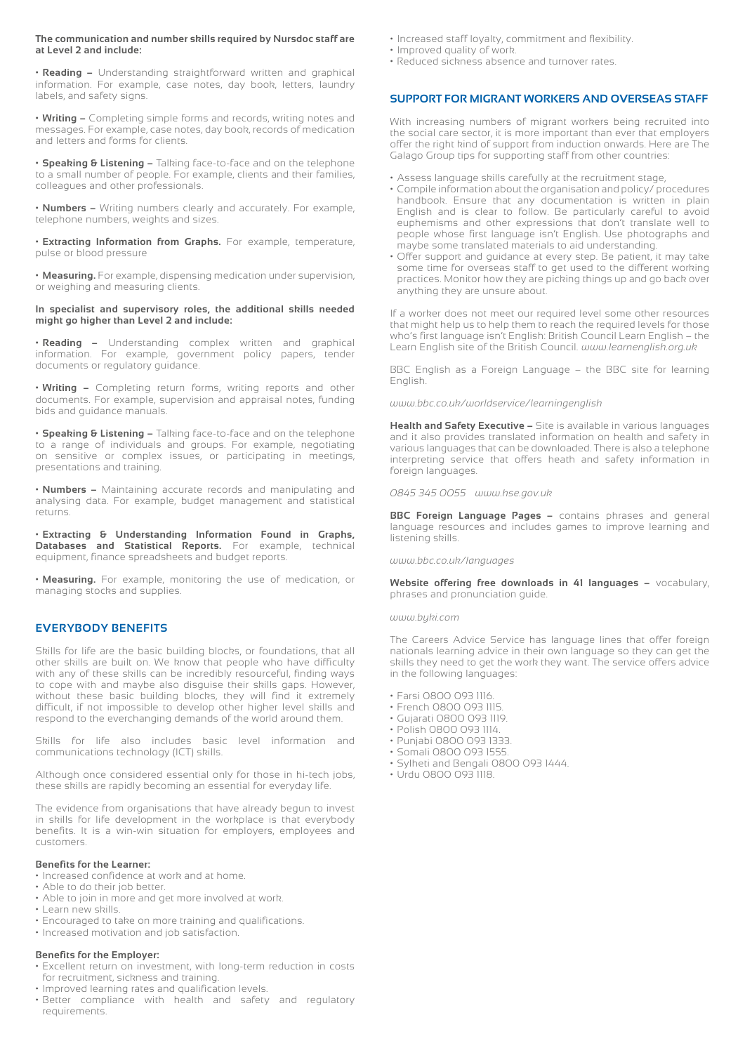#### **The communication and number skills required by Nursdoc staff are at Level 2 and include:**

**• Reading –** Understanding straightforward written and graphical information. For example, case notes, day book, letters, laundry labels, and safety signs.

**• Writing –** Completing simple forms and records, writing notes and messages. For example, case notes, day book, records of medication and letters and forms for clients.

**• Speaking & Listening –** Talking face-to-face and on the telephone to a small number of people. For example, clients and their families, colleagues and other professionals.

**• Numbers –** Writing numbers clearly and accurately. For example, telephone numbers, weights and sizes.

**• Extracting Information from Graphs.** For example, temperature, pulse or blood pressure

**• Measuring.** For example, dispensing medication under supervision, or weighing and measuring clients.

**In specialist and supervisory roles, the additional skills needed might go higher than Level 2 and include:**

**• Reading –** Understanding complex written and graphical information. For example, government policy papers, tender documents or regulatory guidance.

**• Writing –** Completing return forms, writing reports and other documents. For example, supervision and appraisal notes, funding bids and guidance manuals.

**• Speaking & Listening –** Talking face-to-face and on the telephone to a range of individuals and groups. For example, negotiating on sensitive or complex issues, or participating in meetings, presentations and training.

**• Numbers –** Maintaining accurate records and manipulating and analysing data. For example, budget management and statistical returns.

**• Extracting & Understanding Information Found in Graphs, Databases and Statistical Reports.** For example, technical equipment, finance spreadsheets and budget reports.

**• Measuring.** For example, monitoring the use of medication, or managing stocks and supplies.

#### **EVERYBODY BENEFITS**

Skills for life are the basic building blocks, or foundations, that all other skills are built on. We know that people who have difficulty with any of these skills can be incredibly resourceful, finding ways to cope with and maybe also disguise their skills gaps. However, without these basic building blocks, they will find it extremely difficult, if not impossible to develop other higher level skills and respond to the everchanging demands of the world around them.

Skills for life also includes basic level information and communications technology (ICT) skills.

Although once considered essential only for those in hi-tech jobs, these skills are rapidly becoming an essential for everyday life.

The evidence from organisations that have already begun to invest in skills for life development in the workplace is that everybody benefits. It is a win-win situation for employers, employees and customers.

#### **Benefits for the Learner:**

• Increased confidence at work and at home.

- Able to do their job better.
- Able to join in more and get more involved at work.
- Learn new skills.
- Encouraged to take on more training and qualifications.
- Increased motivation and job satisfaction.

#### **Benefits for the Employer:**

- Excellent return on investment, with long-term reduction in costs for recruitment, sickness and training.
- Improved learning rates and qualification levels.
- Better compliance with health and safety and regulatory requirements.
- Increased staff loyalty, commitment and flexibility.
- Improved quality of work.
- Reduced sickness absence and turnover rates.

#### **SUPPORT FOR MIGRANT WORKERS AND OVERSEAS STAFF**

With increasing numbers of migrant workers being recruited into the social care sector, it is more important than ever that employers offer the right kind of support from induction onwards. Here are The Galago Group tips for supporting staff from other countries:

- Assess language skills carefully at the recruitment stage,
- Compile information about the organisation and policy/ procedures handbook. Ensure that any documentation is written in plain English and is clear to follow. Be particularly careful to avoid euphemisms and other expressions that don't translate well to people whose first language isn't English. Use photographs and maybe some translated materials to aid understanding.
- Offer support and guidance at every step. Be patient, it may take some time for overseas staff to get used to the different working practices. Monitor how they are picking things up and go back over anything they are unsure about.

If a worker does not meet our required level some other resources that might help us to help them to reach the required levels for those who's first language isn't English: British Council Learn English – the Learn English site of the British Council. *www.learnenglish.org.uk*

BBC English as a Foreign Language – the BBC site for learning English.

*www.bbc.co.uk/worldservice/learningenglish*

**Health and Safety Executive –** Site is available in various languages and it also provides translated information on health and safety in various languages that can be downloaded. There is also a telephone interpreting service that offers heath and safety information in foreign languages.

*0845 345 0055 www.hse.gov.uk*

**BBC Foreign Language Pages –** contains phrases and general language resources and includes games to improve learning and listening skills.

*www.bbc.co.uk/languages*

**Website offering free downloads in 41 languages –** vocabulary, phrases and pronunciation guide.

#### *www.byki.com*

The Careers Advice Service has language lines that offer foreign nationals learning advice in their own language so they can get the skills they need to get the work they want. The service offers advice in the following languages:

- Farsi 0800 093 1116.
- French 0800 093 1115.
- Gujarati 0800 093 1119.
- Polish 0800 093 1114.
- Punjabi 0800 093 1333.
- Somali 0800 093 1555.
- Sylheti and Bengali 0800 093 1444.
- Urdu 0800 093 1118.